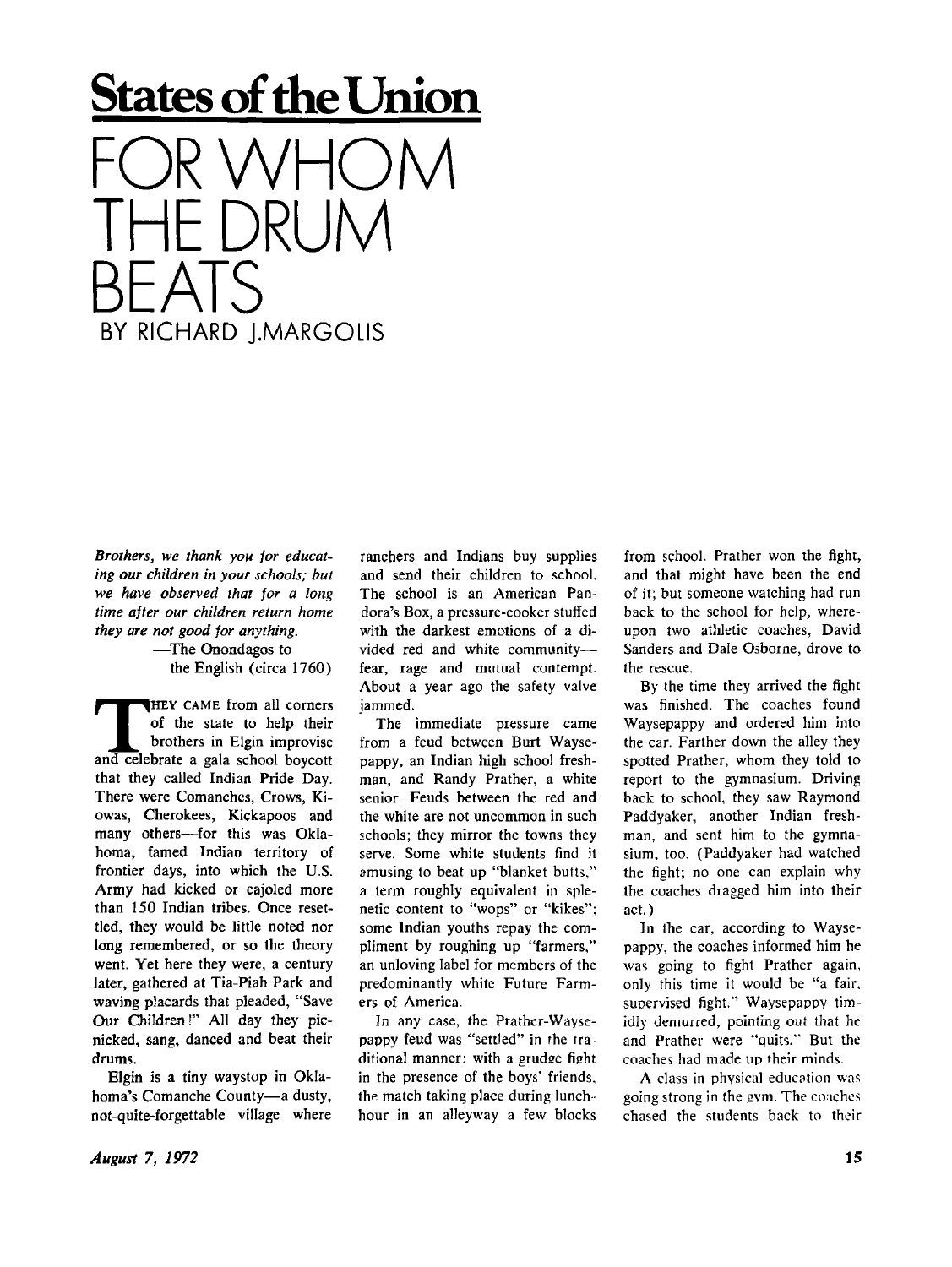## **States of die Union**

FOR VVHOM<br>TUE PRUUM THE DRUM BEAIS<br>Exeichard im BY RICHARD J.MARGOLIS

*Brothers, we thank you for educating our children in your schools; but we have observed that for a long time after our children return home they are not good for anything.* 

—The Onondagos to the English (circa 1760)

**THEY CAME from all corners**<br>of the state to help their<br>brothers in Elgin improvise<br>and celebrate a gala school boycott HEY CAME from all corners of the state to help their brothers in Elgin improvise that they called Indian Pride Day. There were Comanches, Crows, Kiowas, Cherokees, Kickapoos and many others—for this was Oklahoma, famed Indian territory of frontier days, into which the U.S. Army had kicked or cajoled more than 150 Indian tribes. Once resettled, they would be little noted nor long remembered, or so the theory went. Yet here they were, a century later, gathered at Tia-Piah Park and waving placards that pleaded, "Save Our Children!" All day they picnicked, sang, danced and beat their drums.

Elgin is a tiny waystop in Oklahoma's Comanche County—a dusty, not-quite-forgettable village where ranchers and Indians buy supplies and send their children to school. The school is an American Pandora's Box, a pressure-cooker stuffed with the darkest emotions of a divided red and white community fear, rage and mutual contempt. About a year ago the safety valve jammed.

The immediate pressure came from a feud between Burt Waysepappy, an Indian high school freshman, and Randy Prather, a white senior. Feuds between the red and the white are not uncommon in such schools; they mirror the towns they serve. Some white students find it amusing to beat up "blanket butts," a term roughly equivalent in splenetic content to "wops" or "kikes"; some Indian youths repay the compliment by roughing up "farmers," an unloving label for members of the predominantly white Future Farmers of America.

In any case, the Prather-Waysepappy feud was "settled" in the traditional manner: with a grudge fight in the presence of the boys' friends, the match taking place during lunchhour in an alleyway a few blocks from school. Prather won the fight, and that might have been the end of it; but someone watching had run back to the school for help, whereupon two athletic coaches, David Sanders and Dale Osborne, drove to the rescue.

By the time they arrived the fight was finished. The coaches found Waysepappy and ordered him into the car. Farther down the alley they spotted Prather, whom they told to report to the gymnasium. Driving back to school, they saw Raymond Paddyaker, another Indian freshman, and sent him to the gymnasium, too. (Paddyaker had watched the fight; no one can explain why the coaches dragged him into their act.)

In the car, according to Waysepappy, the coaches informed him he was going to fight Prather again, only this time it would be "a fair, supervised fight." Waysepappv timidly demurred, pointing out that he and Prather were "quits." But the coaches had made up their minds.

A class in physical education was going strong in the svm. The coaches chased the students back to their